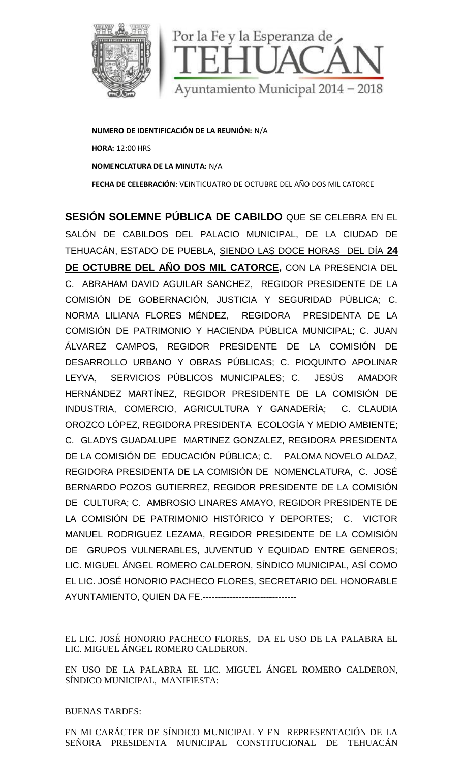

**NUMERO DE IDENTIFICACIÓN DE LA REUNIÓN:** N/A **HORA:** 12:00 HRS **NOMENCLATURA DE LA MINUTA:** N/A **FECHA DE CELEBRACIÓN**: VEINTICUATRO DE OCTUBRE DEL AÑO DOS MIL CATORCE

**SESIÓN SOLEMNE PÚBLICA DE CABILDO** QUE SE CELEBRA EN EL SALÓN DE CABILDOS DEL PALACIO MUNICIPAL, DE LA CIUDAD DE TEHUACÁN, ESTADO DE PUEBLA, SIENDO LAS DOCE HORAS DEL DÍA **24 DE OCTUBRE DEL AÑO DOS MIL CATORCE,** CON LA PRESENCIA DEL C. ABRAHAM DAVID AGUILAR SANCHEZ, REGIDOR PRESIDENTE DE LA COMISIÓN DE GOBERNACIÓN, JUSTICIA Y SEGURIDAD PÚBLICA; C. NORMA LILIANA FLORES MÉNDEZ, REGIDORA PRESIDENTA DE LA COMISIÓN DE PATRIMONIO Y HACIENDA PÚBLICA MUNICIPAL; C. JUAN ÁLVAREZ CAMPOS, REGIDOR PRESIDENTE DE LA COMISIÓN DE DESARROLLO URBANO Y OBRAS PÚBLICAS; C. PIOQUINTO APOLINAR LEYVA, SERVICIOS PÚBLICOS MUNICIPALES; C. JESÚS AMADOR HERNÁNDEZ MARTÍNEZ, REGIDOR PRESIDENTE DE LA COMISIÓN DE INDUSTRIA, COMERCIO, AGRICULTURA Y GANADERÍA; C. CLAUDIA OROZCO LÓPEZ, REGIDORA PRESIDENTA ECOLOGÍA Y MEDIO AMBIENTE; C. GLADYS GUADALUPE MARTINEZ GONZALEZ, REGIDORA PRESIDENTA DE LA COMISIÓN DE EDUCACIÓN PÚBLICA; C. PALOMA NOVELO ALDAZ, REGIDORA PRESIDENTA DE LA COMISIÓN DE NOMENCLATURA, C. JOSÉ BERNARDO POZOS GUTIERREZ, REGIDOR PRESIDENTE DE LA COMISIÓN DE CULTURA; C. AMBROSIO LINARES AMAYO, REGIDOR PRESIDENTE DE LA COMISIÓN DE PATRIMONIO HISTÓRICO Y DEPORTES; C. VICTOR MANUEL RODRIGUEZ LEZAMA, REGIDOR PRESIDENTE DE LA COMISIÓN DE GRUPOS VULNERABLES, JUVENTUD Y EQUIDAD ENTRE GENEROS; LIC. MIGUEL ÁNGEL ROMERO CALDERON, SÍNDICO MUNICIPAL, ASÍ COMO EL LIC. JOSÉ HONORIO PACHECO FLORES, SECRETARIO DEL HONORABLE AYUNTAMIENTO, QUIEN DA FE.------------------------------- NUMERO DE DENTIFICACIÓN DE LA REUNIÓN: N/A<br>
HOME 12:00 HOS CELEBRACIÓN: VEINTICUATRO DE OCTUBRE DEL AÑO DOS MILCATORCE<br>
SESSIÓN SOLEMINE PÚBLICA DE CABILDO QUE SE CELEBRA EN EL<br>
SELON DE CABILDOS DEL PALACIÓN MUNICIPAL, DE

EL LIC. JOSÉ HONORIO PACHECO FLORES, DA EL USO DE LA PALABRA EL LIC. MIGUEL ÁNGEL ROMERO CALDERON.

EN USO DE LA PALABRA EL LIC. MIGUEL ÁNGEL ROMERO CALDERON, SÍNDICO MUNICIPAL, MANIFIESTA: SÉ HONORIO PACHECO FLORES, DA EL USO DE LA PALAE<br>EL ÁNGEL ROMERO CALDERON.<br>E LA PALABRA EL LIC. MIGUEL ÁNGEL ROMERO CALL<br>UNICIPAL, MANIFIESTA:<br>ARDES:<br>RÁCTER DE SÍNDICO MUNICIPAL Y EN REPRESENTACIÓN<br>PRESIDENTA MUNICIPAL CON

BUENAS TARDES: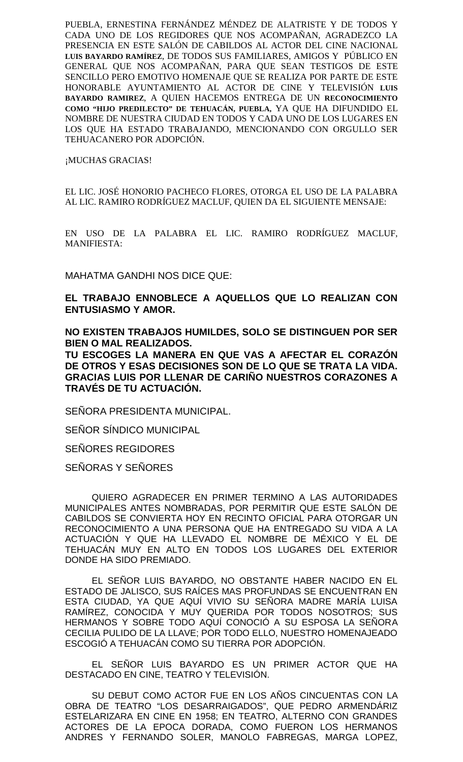PUEBLA, ERNESTINA FERNÁNDEZ MÉNDEZ DE ALATRISTE Y DE TODOS Y CADA UNO DE LOS REGIDORES QUE NOS ACOMPAÑAN, AGRADEZCO LA PRESENCIA EN ESTE SALÓN DE CABILDOS AL ACTOR DEL CINE NACIONAL **LUIS BAYARDO RAMÍREZ**, DE TODOS SUS FAMILIARES, AMIGOS Y PÚBLICO EN GENERAL QUE NOS ACOMPAÑAN, PARA QUE SEAN TESTIGOS DE ESTE SENCILLO PERO EMOTIVO HOMENAJE QUE SE REALIZA POR PARTE DE ESTE HONORABLE AYUNTAMIENTO AL ACTOR DE CINE Y TELEVISIÓN **LUIS BAYARDO RAMIREZ**, A QUIEN HACEMOS ENTREGA DE UN **RECONOCIMIENTO COMO "HIJO PREDILECTO" DE TEHUACÁN, PUEBLA,** YA QUE HA DIFUNDIDO EL NOMBRE DE NUESTRA CIUDAD EN TODOS Y CADA UNO DE LOS LUGARES EN LOS QUE HA ESTADO TRABAJANDO, MENCIONANDO CON ORGULLO SER TEHUACANERO POR ADOPCIÓN.

¡MUCHAS GRACIAS!

EL LIC. JOSÉ HONORIO PACHECO FLORES, OTORGA EL USO DE LA PALABRA AL LIC. RAMIRO RODRÍGUEZ MACLUF, QUIEN DA EL SIGUIENTE MENSAJE:

EN USO DE LA PALABRA EL LIC. RAMIRO RODRÍGUEZ MACLUF, MANIFIESTA:

MAHATMA GANDHI NOS DICE QUE:

**EL TRABAJO ENNOBLECE A AQUELLOS QUE LO REALIZAN CON ENTUSIASMO Y AMOR.**

**NO EXISTEN TRABAJOS HUMILDES, SOLO SE DISTINGUEN POR SER BIEN O MAL REALIZADOS.**

**TU ESCOGES LA MANERA EN QUE VAS A AFECTAR EL CORAZÓN DE OTROS Y ESAS DECISIONES SON DE LO QUE SE TRATA LA VIDA. GRACIAS LUIS POR LLENAR DE CARIÑO NUESTROS CORAZONES A TRAVÉS DE TU ACTUACIÓN.**

SENORA PRESIDENTA MUNICIPAL.

SEÑOR SÍNDICO MUNICIPAL

SEÑORES REGIDORES

SEÑORAS Y SEÑORES

QUIERO AGRADECER EN PRIMER TERMINO A LAS AUTORIDADES MUNICIPALES ANTES NOMBRADAS, POR PERMITIR QUE ESTE SALÓN DE CABILDOS SE CONVIERTA HOY EN RECINTO OFICIAL PARA OTORGAR UN RECONOCIMIENTO A UNA PERSONA QUE HA ENTREGADO SU VIDA A LA ACTUACIÓN Y QUE HA LLEVADO EL NOMBRE DE MÉXICO Y EL DE TEHUACÁN MUY EN ALTO EN TODOS LOS LUGARES DEL EXTERIOR DONDE HA SIDO PREMIADO.

EL SEÑOR LUIS BAYARDO, NO OBSTANTE HABER NACIDO EN EL ESTADO DE JALISCO, SUS RAÍCES MAS PROFUNDAS SE ENCUENTRAN EN ESTA CIUDAD, YA QUE AQUÍ VIVIO SU SENORA MADRE MARÍA LUISA RAMÍREZ, CONOCIDA Y MUY QUERIDA POR TODOS NOSOTROS; SUS HERMANOS Y SOBRE TODO AQUÍ CONOCIÓ A SU ESPOSA LA SEÑORA CECILIA PULIDO DE LA LLAVE; POR TODO ELLO, NUESTRO HOMENAJEADO ESCOGIÓ A TEHUACÁN COMO SU TIERRA POR ADOPCIÓN.

EL SEÑOR LUIS BAYARDO ES UN PRIMER ACTOR QUE HA DESTACADO EN CINE, TEATRO Y TELEVISIÓN.

SU DEBUT COMO ACTOR FUE EN LOS AÑOS CINCUENTAS CON LA OBRA DE TEATRO "LOS DESARRAIGADOS", QUE PEDRO ARMENDÁRIZ ESTELARIZARA EN CINE EN 1958; EN TEATRO, ALTERNO CON GRANDES ACTORES DE LA EPOCA DORADA, COMO FUERON LOS HERMANOS ANDRES Y FERNANDO SOLER, MANOLO FABREGAS, MARGA LOPEZ,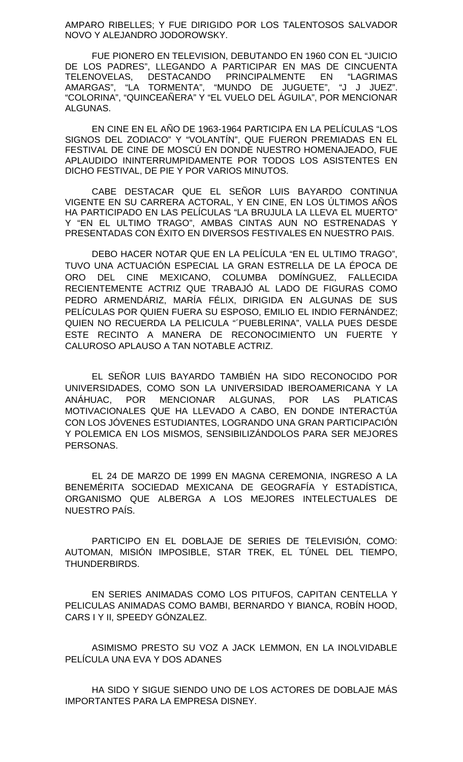AMPARO RIBELLES; Y FUE DIRIGIDO POR LOS TALENTOSOS SALVADOR NOVO Y ALEJANDRO JODOROWSKY.

FUE PIONERO EN TELEVISION, DEBUTANDO EN 1960 CON EL "JUICIO DE LOS PADRES", LLEGANDO A PARTICIPAR EN MAS DE CINCUENTA TELENOVELAS, DESTACANDO PRINCIPALMENTE EN "LAGRIMAS AMARGAS", "LA TORMENTA", "MUNDO DE JUGUETE", "J J JUEZ". "COLORINA", "QUINCEAÑERA" Y "EL VUELO DEL ÁGUILA", POR MENCIONAR ALGUNAS.

EN CINE EN EL AÑO DE 1963-1964 PARTICIPA EN LA PELÍCULAS "LOS SIGNOS DEL ZODIACO" Y "VOLANTÍN", QUE FUERON PREMIADAS EN EL FESTIVAL DE CINE DE MOSCÚ EN DONDE NUESTRO HOMENAJEADO, FUE APLAUDIDO ININTERRUMPIDAMENTE POR TODOS LOS ASISTENTES EN DICHO FESTIVAL, DE PIE Y POR VARIOS MINUTOS.

CABE DESTACAR QUE EL SEÑOR LUIS BAYARDO CONTINUA VIGENTE EN SU CARRERA ACTORAL, Y EN CINE, EN LOS ÚLTIMOS AÑOS HA PARTICIPADO EN LAS PELÍCULAS "LA BRUJULA LA LLEVA EL MUERTO" Y "EN EL ULTIMO TRAGO", AMBAS CINTAS AUN NO ESTRENADAS Y PRESENTADAS CON ÉXITO EN DIVERSOS FESTIVALES EN NUESTRO PAIS.

DEBO HACER NOTAR QUE EN LA PELÍCULA "EN EL ULTIMO TRAGO", TUVO UNA ACTUACIÓN ESPECIAL LA GRAN ESTRELLA DE LA ÉPOCA DE ORO DEL CINE MEXICANO, COLUMBA DOMÍNGUEZ, FALLECIDA RECIENTEMENTE ACTRIZ QUE TRABAJÓ AL LADO DE FIGURAS COMO PEDRO ARMENDÁRIZ, MARÍA FÉLIX, DIRIGIDA EN ALGUNAS DE SUS PELÍCULAS POR QUIEN FUERA SU ESPOSO, EMILIO EL INDIO FERNÁNDEZ; QUIEN NO RECUERDA LA PELICULA "´PUEBLERINA", VALLA PUES DESDE ESTE RECINTO A MANERA DE RECONOCIMIENTO UN FUERTE Y CALUROSO APLAUSO A TAN NOTABLE ACTRIZ.

EL SEÑOR LUIS BAYARDO TAMBIÉN HA SIDO RECONOCIDO POR UNIVERSIDADES, COMO SON LA UNIVERSIDAD IBEROAMERICANA Y LA ANÁHUAC, POR MENCIONAR ALGUNAS, POR LAS PLATICAS MOTIVACIONALES QUE HA LLEVADO A CABO, EN DONDE INTERACTÚA CON LOS JÓVENES ESTUDIANTES, LOGRANDO UNA GRAN PARTICIPACIÓN Y POLEMICA EN LOS MISMOS, SENSIBILIZÁNDOLOS PARA SER MEJORES PERSONAS.

EL 24 DE MARZO DE 1999 EN MAGNA CEREMONIA, INGRESO A LA BENEMÉRITA SOCIEDAD MEXICANA DE GEOGRAFÍA Y ESTADÍSTICA, ORGANISMO QUE ALBERGA A LOS MEJORES INTELECTUALES DE NUESTRO PAÍS.

PARTICIPO EN EL DOBLAJE DE SERIES DE TELEVISIÓN, COMO: AUTOMAN, MISIÓN IMPOSIBLE, STAR TREK, EL TÚNEL DEL TIEMPO, THUNDERBIRDS.

EN SERIES ANIMADAS COMO LOS PITUFOS, CAPITAN CENTELLA Y PELICULAS ANIMADAS COMO BAMBI, BERNARDO Y BIANCA, ROBÍN HOOD, CARS I Y II, SPEEDY GÓNZALEZ.

ASIMISMO PRESTO SU VOZ A JACK LEMMON, EN LA INOLVIDABLE PELÍCULA UNA EVA Y DOS ADANES

HA SIDO Y SIGUE SIENDO UNO DE LOS ACTORES DE DOBLAJE MÁS IMPORTANTES PARA LA EMPRESA DISNEY.